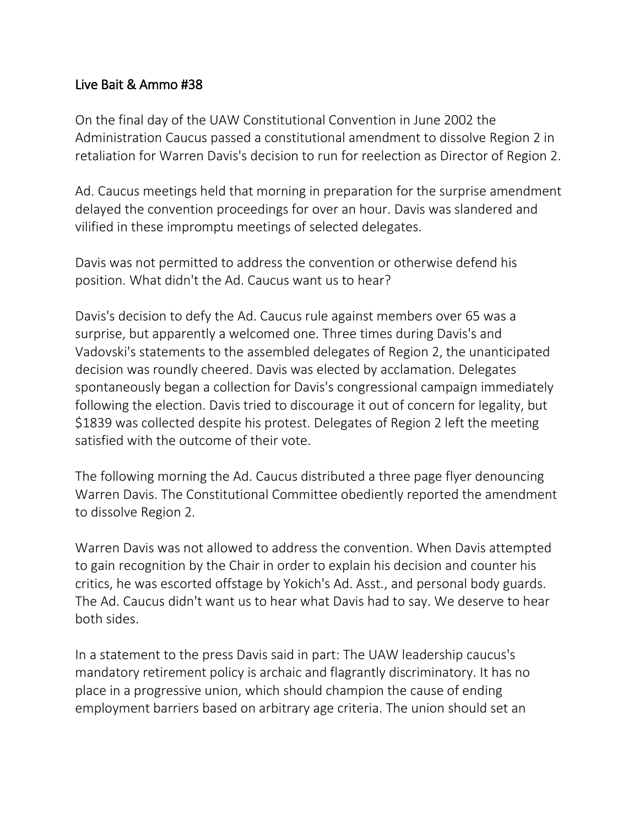## Live Bait & Ammo #38

On the final day of the UAW Constitutional Convention in June 2002 the Administration Caucus passed a constitutional amendment to dissolve Region 2 in retaliation for Warren Davis's decision to run for reelection as Director of Region 2.

Ad. Caucus meetings held that morning in preparation for the surprise amendment delayed the convention proceedings for over an hour. Davis was slandered and vilified in these impromptu meetings of selected delegates.

Davis was not permitted to address the convention or otherwise defend his position. What didn't the Ad. Caucus want us to hear?

Davis's decision to defy the Ad. Caucus rule against members over 65 was a surprise, but apparently a welcomed one. Three times during Davis's and Vadovski's statements to the assembled delegates of Region 2, the unanticipated decision was roundly cheered. Davis was elected by acclamation. Delegates spontaneously began a collection for Davis's congressional campaign immediately following the election. Davis tried to discourage it out of concern for legality, but \$1839 was collected despite his protest. Delegates of Region 2 left the meeting satisfied with the outcome of their vote.

The following morning the Ad. Caucus distributed a three page flyer denouncing Warren Davis. The Constitutional Committee obediently reported the amendment to dissolve Region 2.

Warren Davis was not allowed to address the convention. When Davis attempted to gain recognition by the Chair in order to explain his decision and counter his critics, he was escorted offstage by Yokich's Ad. Asst., and personal body guards. The Ad. Caucus didn't want us to hear what Davis had to say. We deserve to hear both sides.

In a statement to the press Davis said in part: The UAW leadership caucus's mandatory retirement policy is archaic and flagrantly discriminatory. It has no place in a progressive union, which should champion the cause of ending employment barriers based on arbitrary age criteria. The union should set an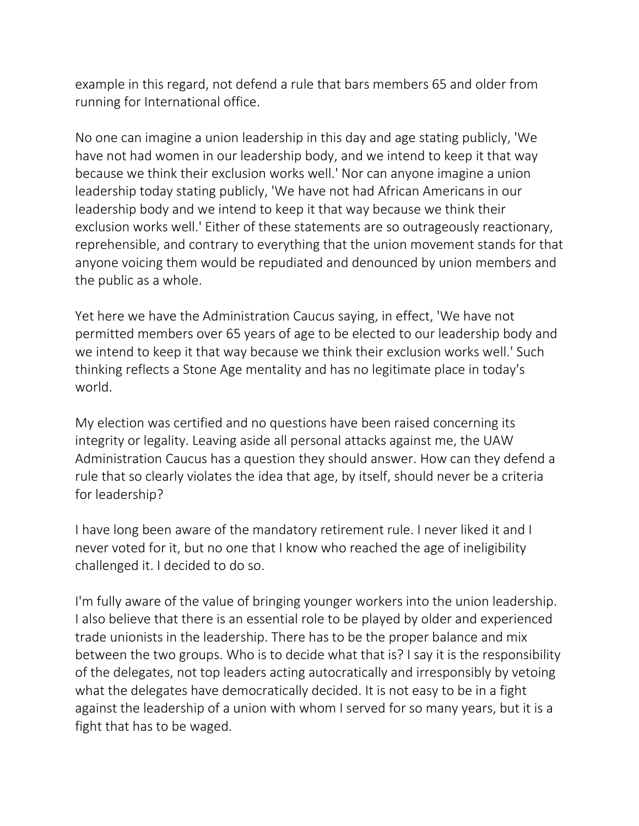example in this regard, not defend a rule that bars members 65 and older from running for International office.

No one can imagine a union leadership in this day and age stating publicly, 'We have not had women in our leadership body, and we intend to keep it that way because we think their exclusion works well.' Nor can anyone imagine a union leadership today stating publicly, 'We have not had African Americans in our leadership body and we intend to keep it that way because we think their exclusion works well.' Either of these statements are so outrageously reactionary, reprehensible, and contrary to everything that the union movement stands for that anyone voicing them would be repudiated and denounced by union members and the public as a whole.

Yet here we have the Administration Caucus saying, in effect, 'We have not permitted members over 65 years of age to be elected to our leadership body and we intend to keep it that way because we think their exclusion works well.' Such thinking reflects a Stone Age mentality and has no legitimate place in today's world.

My election was certified and no questions have been raised concerning its integrity or legality. Leaving aside all personal attacks against me, the UAW Administration Caucus has a question they should answer. How can they defend a rule that so clearly violates the idea that age, by itself, should never be a criteria for leadership?

I have long been aware of the mandatory retirement rule. I never liked it and I never voted for it, but no one that I know who reached the age of ineligibility challenged it. I decided to do so.

I'm fully aware of the value of bringing younger workers into the union leadership. I also believe that there is an essential role to be played by older and experienced trade unionists in the leadership. There has to be the proper balance and mix between the two groups. Who is to decide what that is? I say it is the responsibility of the delegates, not top leaders acting autocratically and irresponsibly by vetoing what the delegates have democratically decided. It is not easy to be in a fight against the leadership of a union with whom I served for so many years, but it is a fight that has to be waged.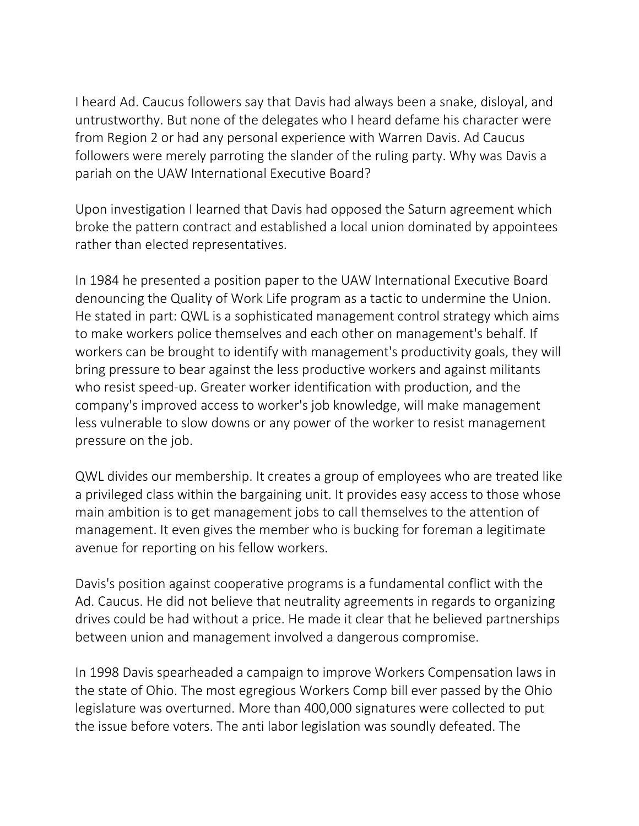I heard Ad. Caucus followers say that Davis had always been a snake, disloyal, and untrustworthy. But none of the delegates who I heard defame his character were from Region 2 or had any personal experience with Warren Davis. Ad Caucus followers were merely parroting the slander of the ruling party. Why was Davis a pariah on the UAW International Executive Board?

Upon investigation I learned that Davis had opposed the Saturn agreement which broke the pattern contract and established a local union dominated by appointees rather than elected representatives.

In 1984 he presented a position paper to the UAW International Executive Board denouncing the Quality of Work Life program as a tactic to undermine the Union. He stated in part: QWL is a sophisticated management control strategy which aims to make workers police themselves and each other on management's behalf. If workers can be brought to identify with management's productivity goals, they will bring pressure to bear against the less productive workers and against militants who resist speed-up. Greater worker identification with production, and the company's improved access to worker's job knowledge, will make management less vulnerable to slow downs or any power of the worker to resist management pressure on the job.

QWL divides our membership. It creates a group of employees who are treated like a privileged class within the bargaining unit. It provides easy access to those whose main ambition is to get management jobs to call themselves to the attention of management. It even gives the member who is bucking for foreman a legitimate avenue for reporting on his fellow workers.

Davis's position against cooperative programs is a fundamental conflict with the Ad. Caucus. He did not believe that neutrality agreements in regards to organizing drives could be had without a price. He made it clear that he believed partnerships between union and management involved a dangerous compromise.

In 1998 Davis spearheaded a campaign to improve Workers Compensation laws in the state of Ohio. The most egregious Workers Comp bill ever passed by the Ohio legislature was overturned. More than 400,000 signatures were collected to put the issue before voters. The anti labor legislation was soundly defeated. The